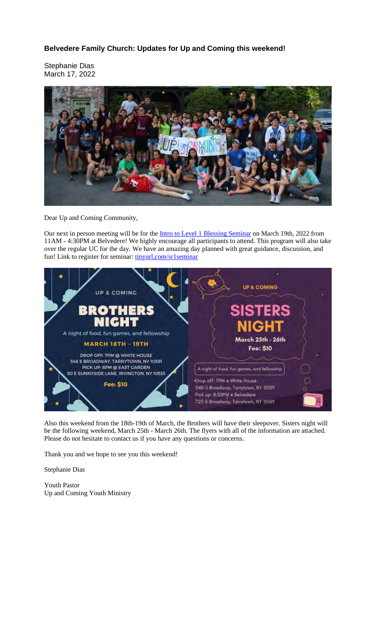**Belvedere Family Church: Updates for Up and Coming this weekend!**

Stephanie Dias March 17, 2022



Dear Up and Coming Community,

Our next in person meeting will be for the Intro to Level 1 Blessing Seminar on March 19th, 2022 from 11AM - 4:30PM at Belvedere! We highly encourage all participants to attend. This program will also take over the regular UC for the day. We have an amazing day planned with great guidance, discussion, and fun! Link to register for seminar: tinyurl,com/sr1seminar



Also this weekend from the 18th-19th of March, the Brothers will have their sleepover. Sisters night will be the following weekend, March 25th - March 26th. The flyers with all of the information are attached. Please do not hesitate to contact us if you have any questions or concerns.

Thank you and we hope to see you this weekend!

Stephanie Dias

Youth Pastor Up and Coming Youth Ministry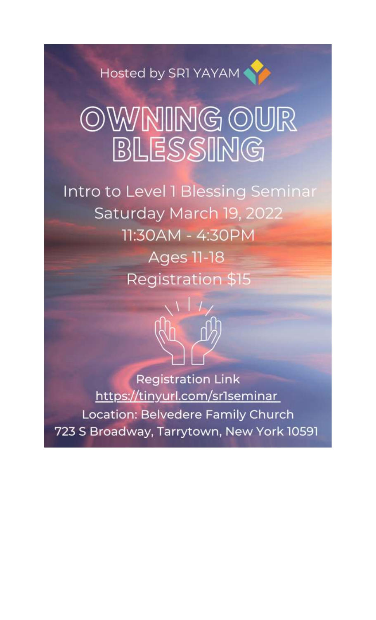Hosted by SR1 YAYAM

## OWNING OUR BLESSING

Intro to Level 1 Blessing Seminar Saturday March 19, 2022 11:30AM - 4:30PM **Ages 11-18 Registration \$15** 



**Registration Link** https://tinyurl.com/sr1seminar Location: Belvedere Family Church 723 S Broadway, Tarrytown, New York 10591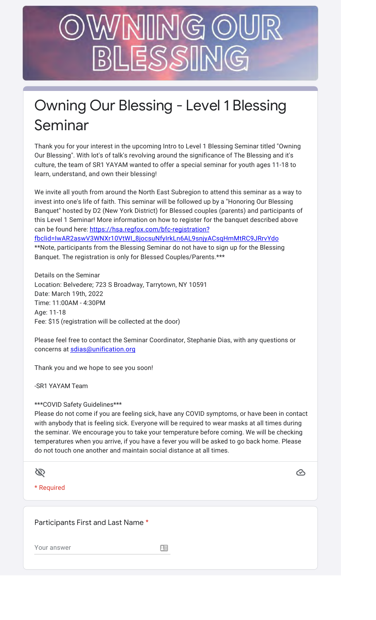## INIG (O) BLESSIN

## Owning Our Blessing - Level 1 Blessing Seminar

Thank you for your interest in the upcoming Intro to Level 1 Blessing Seminar titled "Owning Our Blessing". With lot's of talk's revolving around the significance of The Blessing and it's culture, the team of SR1 YAYAM wanted to offer a special seminar for youth ages 11-18 to learn, understand, and own their blessing!

We invite all youth from around the North East Subregion to attend this seminar as a way to invest into one's life of faith. This seminar will be followed up by a "Honoring Our Blessing Banquet" hosted by D2 (New York District) for Blessed couples (parents) and participants of this Level 1 Seminar! More information on how to register for the banquet described above can be found here: https://hsa.regfox.com/bfc-registration? fbclid=IwAR2aswV3WNXr10VtWI\_8jocsuNfyIrkLn6AL9snjyACsqHmMtRC9JRrvYdo

\*\*Note, participants from the Blessing Seminar do not have to sign up for the Blessing Banquet. The registration is only for Blessed Couples/Parents.\*\*\*

Details on the Seminar Location: Belvedere; 723 S Broadway, Tarrytown, NY 10591 Date: March 19th, 2022 Time: 11:00AM - 4:30PM Age: 11-18 Fee: \$15 (registration will be collected at the door)

Please feel free to contact the Seminar Coordinator, Stephanie Dias, with any questions or concerns at sdias@unification.org

Thank you and we hope to see you soon!

-SR1 YAYAM Team

\*\*\*COVID Safety Guidelines\*\*\*

Please do not come if you are feeling sick, have any COVID symptoms, or have been in contact with anybody that is feeling sick. Everyone will be required to wear masks at all times during the seminar. We encourage you to take your temperature before coming. We will be checking temperatures when you arrive, if you have a fever you will be asked to go back home. Please do not touch one another and maintain social distance at all times.

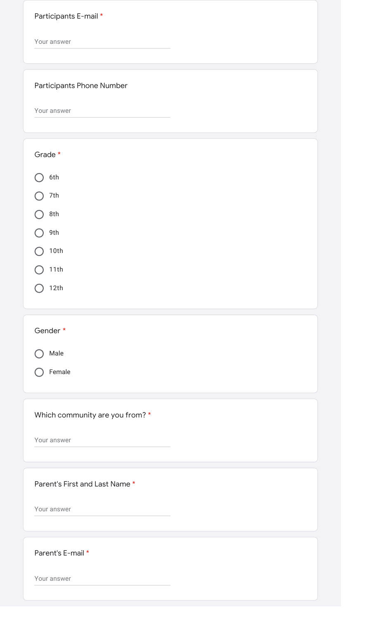Participants E-mail \*

Your answer

## Participants Phone Number

Your answer

| Grade *                         |
|---------------------------------|
| 6th                             |
| 7th                             |
| 8th                             |
| 9th                             |
| 10th                            |
| 11th                            |
| 12th                            |
|                                 |
| Gender *                        |
| Male                            |
| Female                          |
|                                 |
| Which community are you from? * |
| Your answer                     |
|                                 |
| Parent's First and Last Name *  |
| Your answer                     |
|                                 |
|                                 |
| Parent's E-mail *               |
| Your answer                     |